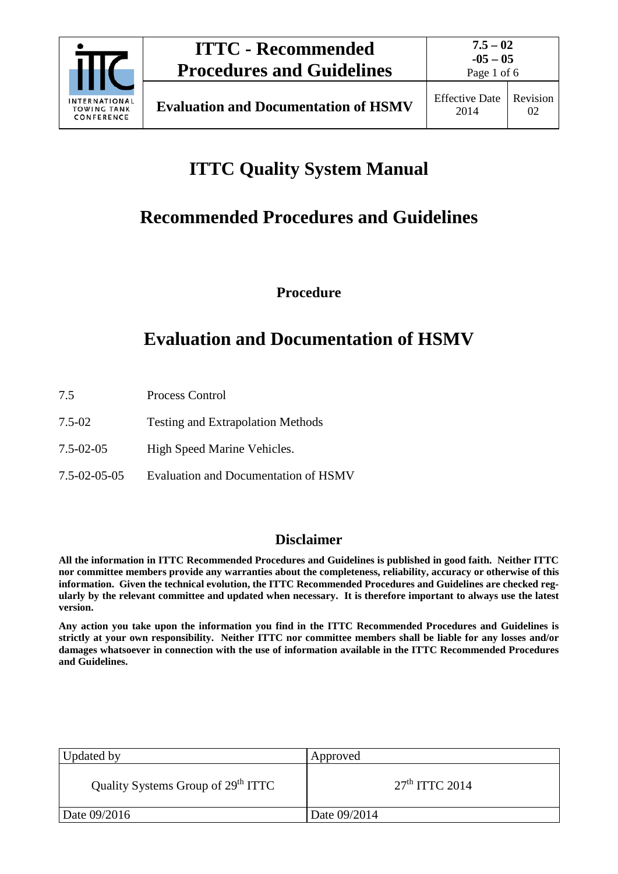

Page 1 of 6

# **ITTC Quality System Manual**

# **Recommended Procedures and Guidelines**

**Procedure**

# **Evaluation and Documentation of HSMV**

- 7.5 Process Control
- 7.5-02 Testing and Extrapolation Methods
- 7.5-02-05 High Speed Marine Vehicles.
- 7.5-02-05-05 Evaluation and Documentation of HSMV

## **Disclaimer**

**All the information in ITTC Recommended Procedures and Guidelines is published in good faith. Neither ITTC nor committee members provide any warranties about the completeness, reliability, accuracy or otherwise of this information. Given the technical evolution, the ITTC Recommended Procedures and Guidelines are checked regularly by the relevant committee and updated when necessary. It is therefore important to always use the latest version.**

**Any action you take upon the information you find in the ITTC Recommended Procedures and Guidelines is strictly at your own responsibility. Neither ITTC nor committee members shall be liable for any losses and/or damages whatsoever in connection with the use of information available in the ITTC Recommended Procedures and Guidelines.**

| Updated by                                     | Approved         |
|------------------------------------------------|------------------|
| Quality Systems Group of 29 <sup>th</sup> ITTC | $27th$ ITTC 2014 |
| Date 09/2016                                   | Date 09/2014     |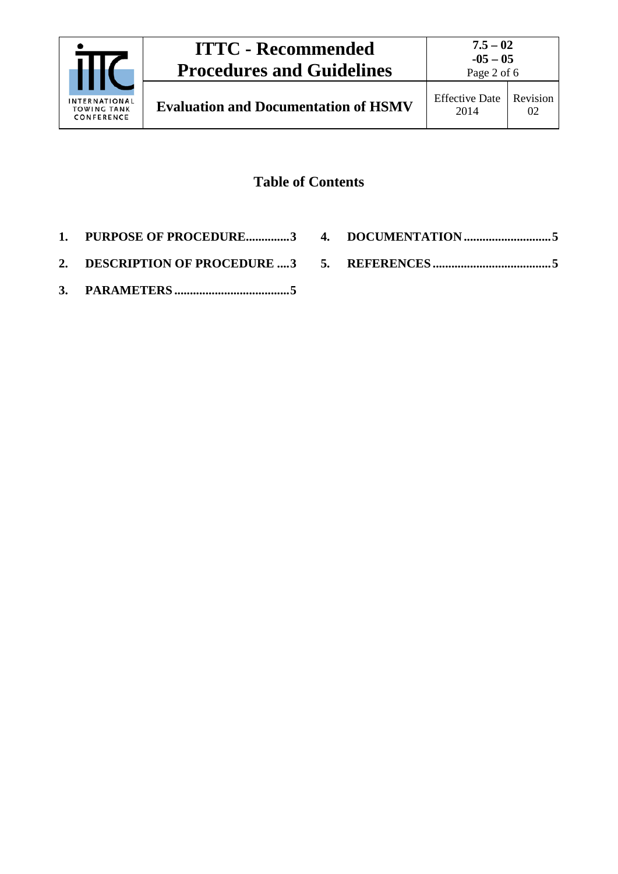

# **Table of Contents**

- **1. [PURPOSE OF PROCEDURE..............3](#page-2-0)**
- **4. [DOCUMENTATION](#page-4-1) ............................5**
- **2. [DESCRIPTION OF PROCEDURE](#page-2-1) ....3**
- **3. PARAMETERS [.....................................5](#page-4-0)**
- **5. REFERENCES [......................................5](#page-4-2)**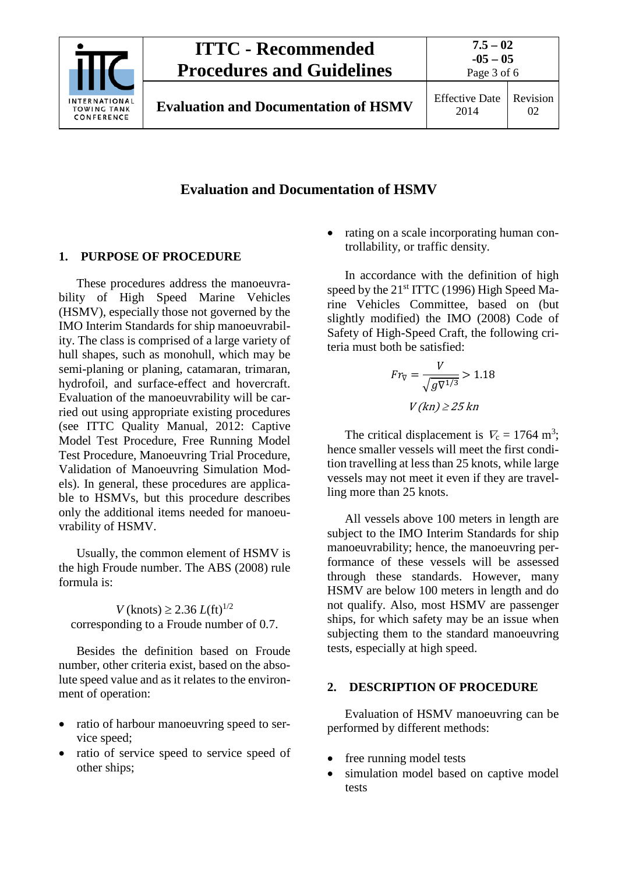

### **Evaluation and Documentation of HSMV**

#### <span id="page-2-0"></span>**1. PURPOSE OF PROCEDURE**

These procedures address the manoeuvrability of High Speed Marine Vehicles (HSMV), especially those not governed by the IMO Interim Standards for ship manoeuvrability. The class is comprised of a large variety of hull shapes, such as monohull, which may be semi-planing or planing, catamaran, trimaran, hydrofoil, and surface-effect and hovercraft. Evaluation of the manoeuvrability will be carried out using appropriate existing procedures (see ITTC Quality Manual, 2012: Captive Model Test Procedure, Free Running Model Test Procedure, Manoeuvring Trial Procedure, Validation of Manoeuvring Simulation Models). In general, these procedures are applicable to HSMVs, but this procedure describes only the additional items needed for manoeuvrability of HSMV.

Usually, the common element of HSMV is the high Froude number. The ABS (2008) rule formula is:

*V* (knots) ≥ 2.36  $L$ (ft)<sup>1/2</sup> corresponding to a Froude number of 0.7.

Besides the definition based on Froude number, other criteria exist, based on the absolute speed value and as it relates to the environment of operation:

- ratio of harbour manoeuvring speed to service speed;
- ratio of service speed to service speed of other ships;

• rating on a scale incorporating human controllability, or traffic density.

In accordance with the definition of high speed by the 21<sup>st</sup> ITTC (1996) High Speed Marine Vehicles Committee, based on (but slightly modified) the IMO (2008) Code of Safety of High-Speed Craft, the following criteria must both be satisfied:

$$
Fr_{\nabla} = \frac{V}{\sqrt{gV^{1/3}}} > 1.18
$$

$$
V(kn) \ge 25 kn
$$

The critical displacement is  $V_c = 1764$  m<sup>3</sup>; hence smaller vessels will meet the first condition travelling at less than 25 knots, while large vessels may not meet it even if they are travelling more than 25 knots.

All vessels above 100 meters in length are subject to the IMO Interim Standards for ship manoeuvrability; hence, the manoeuvring performance of these vessels will be assessed through these standards. However, many HSMV are below 100 meters in length and do not qualify. Also, most HSMV are passenger ships, for which safety may be an issue when subjecting them to the standard manoeuvring tests, especially at high speed.

#### <span id="page-2-1"></span>**2. DESCRIPTION OF PROCEDURE**

Evaluation of HSMV manoeuvring can be performed by different methods:

- free running model tests
- simulation model based on captive model tests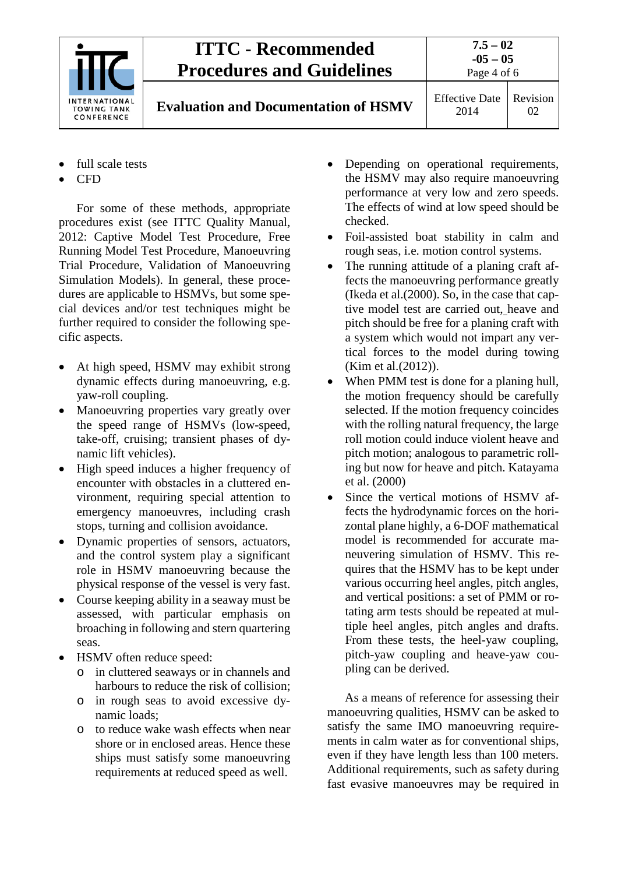

# **ITTC - Recommended Procedures and Guidelines**

**Evaluation and Documentation of HSMV** Effective Date

- full scale tests
- CFD

For some of these methods, appropriate procedures exist (see ITTC Quality Manual, 2012: Captive Model Test Procedure, Free Running Model Test Procedure, Manoeuvring Trial Procedure, Validation of Manoeuvring Simulation Models). In general, these procedures are applicable to HSMVs, but some special devices and/or test techniques might be further required to consider the following specific aspects.

- At high speed, HSMV may exhibit strong dynamic effects during manoeuvring, e.g. yaw-roll coupling.
- Manoeuvring properties vary greatly over the speed range of HSMVs (low-speed, take-off, cruising; transient phases of dynamic lift vehicles).
- High speed induces a higher frequency of encounter with obstacles in a cluttered environment, requiring special attention to emergency manoeuvres, including crash stops, turning and collision avoidance.
- Dynamic properties of sensors, actuators, and the control system play a significant role in HSMV manoeuvring because the physical response of the vessel is very fast.
- Course keeping ability in a seaway must be assessed, with particular emphasis on broaching in following and stern quartering seas.
- HSMV often reduce speed:
	- o in cluttered seaways or in channels and harbours to reduce the risk of collision;
	- o in rough seas to avoid excessive dynamic loads;
	- o to reduce wake wash effects when near shore or in enclosed areas. Hence these ships must satisfy some manoeuvring requirements at reduced speed as well.
- Depending on operational requirements, the HSMV may also require manoeuvring performance at very low and zero speeds. The effects of wind at low speed should be checked.
- Foil-assisted boat stability in calm and rough seas, i.e. motion control systems.
- The running attitude of a planing craft affects the manoeuvring performance greatly (Ikeda et al.(2000). So, in the case that captive model test are carried out, heave and pitch should be free for a planing craft with a system which would not impart any vertical forces to the model during towing (Kim et al.(2012)).
- When PMM test is done for a planing hull, the motion frequency should be carefully selected. If the motion frequency coincides with the rolling natural frequency, the large roll motion could induce violent heave and pitch motion; analogous to parametric rolling but now for heave and pitch. Katayama et al. (2000)
- Since the vertical motions of HSMV affects the hydrodynamic forces on the horizontal plane highly, a 6-DOF mathematical model is recommended for accurate maneuvering simulation of HSMV. This requires that the HSMV has to be kept under various occurring heel angles, pitch angles, and vertical positions: a set of PMM or rotating arm tests should be repeated at multiple heel angles, pitch angles and drafts. From these tests, the heel-yaw coupling, pitch-yaw coupling and heave-yaw coupling can be derived.

As a means of reference for assessing their manoeuvring qualities, HSMV can be asked to satisfy the same IMO manoeuvring requirements in calm water as for conventional ships, even if they have length less than 100 meters. Additional requirements, such as safety during fast evasive manoeuvres may be required in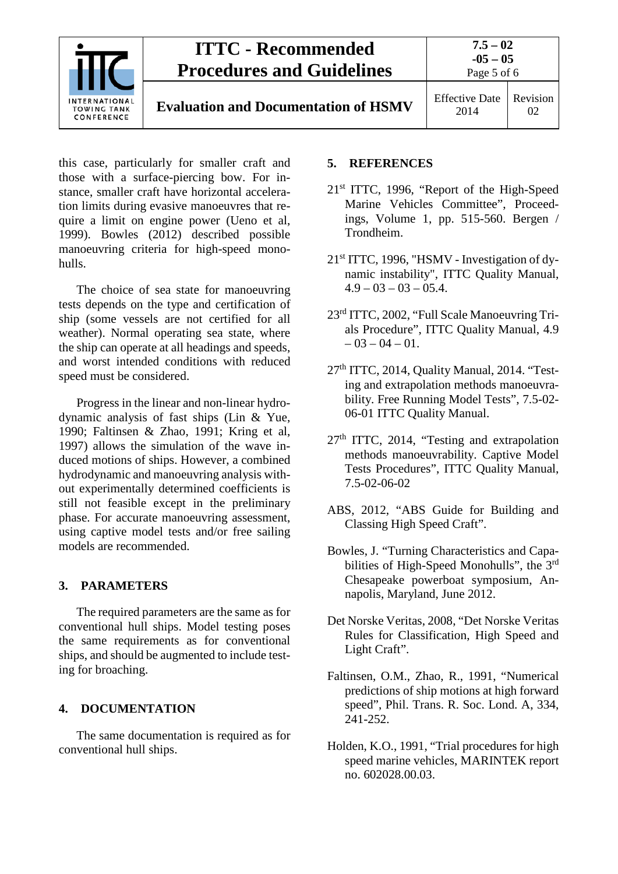

this case, particularly for smaller craft and those with a surface-piercing bow. For instance, smaller craft have horizontal acceleration limits during evasive manoeuvres that require a limit on engine power (Ueno et al, 1999). Bowles (2012) described possible manoeuvring criteria for high-speed monohulls.

The choice of sea state for manoeuvring tests depends on the type and certification of ship (some vessels are not certified for all weather). Normal operating sea state, where the ship can operate at all headings and speeds, and worst intended conditions with reduced speed must be considered.

Progress in the linear and non-linear hydrodynamic analysis of fast ships (Lin & Yue, 1990; Faltinsen & Zhao, 1991; Kring et al, 1997) allows the simulation of the wave induced motions of ships. However, a combined hydrodynamic and manoeuvring analysis without experimentally determined coefficients is still not feasible except in the preliminary phase. For accurate manoeuvring assessment, using captive model tests and/or free sailing models are recommended.

### <span id="page-4-0"></span>**3. PARAMETERS**

The required parameters are the same as for conventional hull ships. Model testing poses the same requirements as for conventional ships, and should be augmented to include testing for broaching.

### <span id="page-4-1"></span>**4. DOCUMENTATION**

The same documentation is required as for conventional hull ships.

### <span id="page-4-2"></span>**5. REFERENCES**

- 21st ITTC, 1996, "Report of the High-Speed Marine Vehicles Committee", Proceedings, Volume 1, pp. 515-560. Bergen / Trondheim.
- 21st ITTC, 1996, "HSMV Investigation of dynamic instability", ITTC Quality Manual,  $4.9 - 03 - 03 - 05.4$ .
- 23rd ITTC, 2002, "Full Scale Manoeuvring Trials Procedure", ITTC Quality Manual, 4.9  $-03 - 04 - 01$ .
- 27<sup>th</sup> ITTC, 2014, Quality Manual, 2014. "Testing and extrapolation methods manoeuvrability. Free Running Model Tests", 7.5-02- 06-01 ITTC Quality Manual.
- 27th ITTC, 2014, "Testing and extrapolation methods manoeuvrability. Captive Model Tests Procedures", ITTC Quality Manual, 7.5-02-06-02
- ABS, 2012, "ABS Guide for Building and Classing High Speed Craft".
- Bowles, J. "Turning Characteristics and Capabilities of High-Speed Monohulls", the 3rd Chesapeake powerboat symposium, Annapolis, Maryland, June 2012.
- Det Norske Veritas, 2008, "Det Norske Veritas Rules for Classification, High Speed and Light Craft".
- Faltinsen, O.M., Zhao, R., 1991, "Numerical predictions of ship motions at high forward speed", Phil. Trans. R. Soc. Lond. A, 334, 241-252.
- Holden, K.O., 1991, "Trial procedures for high speed marine vehicles, MARINTEK report no. 602028.00.03.